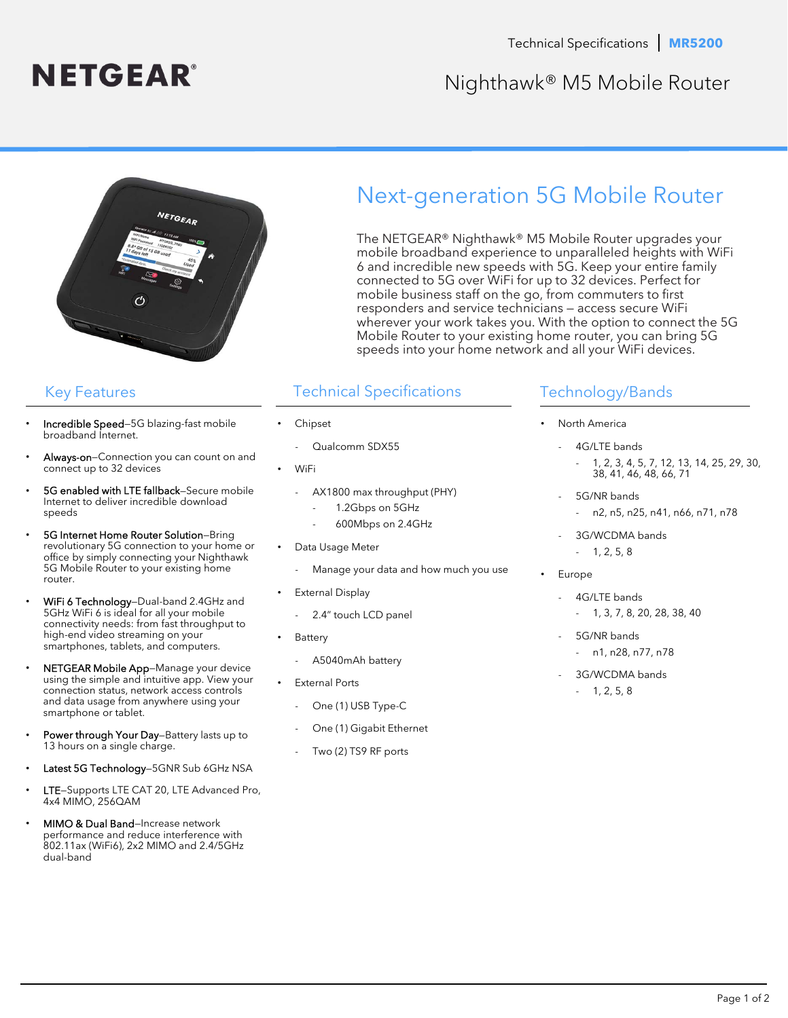

## Nighthawk® M5 Mobile Router



# Next-generation 5G Mobile Router

The NETGEAR® Nighthawk® M5 Mobile Router upgrades your mobile broadband experience to unparalleled heights with WiFi 6 and incredible new speeds with 5G. Keep your entire family connected to 5G over WiFi for up to 32 devices. Perfect for mobile business staff on the go, from commuters to first responders and service technicians — access secure WiFi wherever your work takes you. With the option to connect the 5G Mobile Router to your existing home router, you can bring 5G speeds into your home network and all your WiFi devices.

## Key Features Technical Specifications

- **Chipset** 
	- Qualcomm SDX55
- WiFi
	- AX1800 max throughput (PHY)
		- 1.2Gbps on 5GHz
		- 600Mbps on 2.4GHz
- Data Usage Meter
	- Manage your data and how much you use
- **External Display** 
	- 2.4" touch LCD panel
- **Battery** 
	- A5040mAh battery
- External Ports
	- One (1) USB Type-C
	- One (1) Gigabit Ethernet
	- Two (2) TS9 RF ports

## Technology/Bands

- North America
	- 4G/LTE bands - 1, 2, 3, 4, 5, 7, 12, 13, 14, 25, 29, 30, 38, 41, 46, 48, 66, 71
	- 5G/NR bands n2, n5, n25, n41, n66, n71, n78
	- 3G/WCDMA bands  $- 1, 2, 5, 8$
- **Europe** 
	- 4G/LTE bands
		- 1, 3, 7, 8, 20, 28, 38, 40
	- 5G/NR bands - n1, n28, n77, n78
	- 3G/WCDMA bands  $- 1, 2, 5, 8$

- Incredible Speed-5G blazing-fast mobile broadband Internet.
- Always-on-Connection you can count on and connect up to 32 devices
- 5G enabled with LTE fallback-Secure mobile Internet to deliver incredible download speeds
- 5G Internet Home Router Solution—Bring revolutionary 5G connection to your home or office by simply connecting your Nighthawk 5G Mobile Router to your existing home router.
- WiFi 6 Technology—Dual-band 2.4GHz and 5GHz WiFi 6 is ideal for all your mobile connectivity needs: from fast throughput to high-end video streaming on your smartphones, tablets, and computers.
- NETGEAR Mobile App-Manage your device using the simple and intuitive app. View your connection status, network access controls and data usage from anywhere using your smartphone or tablet.
- Power through Your Day-Battery lasts up to 13 hours on a single charge.
- Latest 5G Technology-5GNR Sub 6GHz NSA
- LTE-Supports LTE CAT 20, LTE Advanced Pro, 4x4 MIMO, 256QAM
- MIMO & Dual Band-Increase network performance and reduce interference with 802.11ax (WiFi6), 2x2 MIMO and 2.4/5GHz dual-band